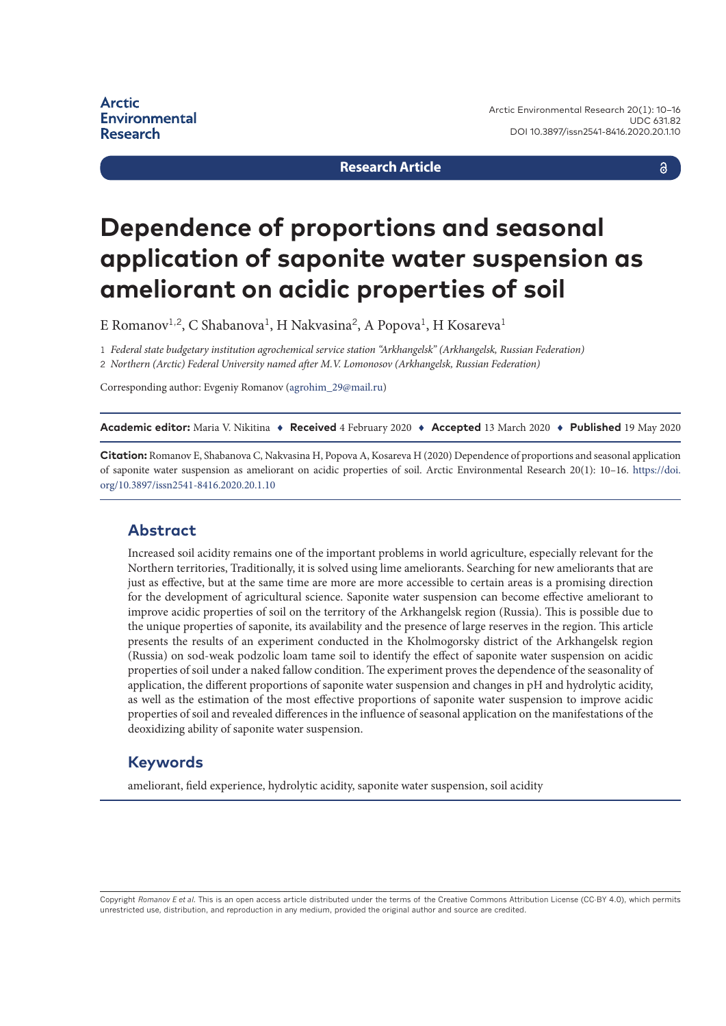#### **Research Article**

a

# **Dependence of proportions and seasonal application of saponite water suspension as ameliorant on acidic properties of soil**

E Romanov<sup>1,2</sup>, C Shabanova<sup>1</sup>, H Nakvasina<sup>2</sup>, A Popova<sup>1</sup>, H Kosareva<sup>1</sup>

1 *Federal state budgetary institution agrochemical service station "Arkhangelsk" (Arkhangelsk, Russian Federation)* 2 *Northern (Arctic) Federal University named after M.V. Lomonosov (Arkhangelsk, Russian Federation)*

Corresponding author: Evgeniy Romanov ([agrohim\\_29@mail.ru](mailto:agrohim_29@mail.ru))

**Academic editor:** Maria V. Nikitina ♦ **Received** 4 February 2020 ♦ **Accepted** 13 March 2020 ♦ **Published** 19 May 2020

**Citation:** Romanov E, Shabanova C, Nakvasina H, Popova A, Kosareva H (2020) Dependence of proportions and seasonal application of saponite water suspension as ameliorant on acidic properties of soil. Arctic Environmental Research 20(1): 10–16. [https://doi.](https://doi.org/10.3897/issn2541-8416.2020.20.1.10) [org/10.3897/issn2541-8416.2020.20.1.10](https://doi.org/10.3897/issn2541-8416.2020.20.1.10)

#### **Abstract**

Increased soil acidity remains one of the important problems in world agriculture, especially relevant for the Northern territories, Traditionally, it is solved using lime ameliorants. Searching for new ameliorants that are just as effective, but at the same time are more are more accessible to certain areas is a promising direction for the development of agricultural science. Saponite water suspension can become effective ameliorant to improve acidic properties of soil on the territory of the Arkhangelsk region (Russia). This is possible due to the unique properties of saponite, its availability and the presence of large reserves in the region. This article presents the results of an experiment conducted in the Kholmogorsky district of the Arkhangelsk region (Russia) on sod-weak podzolic loam tame soil to identify the effect of saponite water suspension on acidic properties of soil under a naked fallow condition. The experiment proves the dependence of the seasonality of application, the different proportions of saponite water suspension and changes in pH and hydrolytic acidity, as well as the estimation of the most effective proportions of saponite water suspension to improve acidic properties of soil and revealed differences in the influence of seasonal application on the manifestations of the deoxidizing ability of saponite water suspension.

#### **Keywords**

ameliorant, field experience, hydrolytic acidity, saponite water suspension, soil acidity

Copyright *Romanov E et al.* This is an open access article distributed under the terms of the Creative Commons Attribution License (CC-BY 4.0), which permits unrestricted use, distribution, and reproduction in any medium, provided the original author and source are credited.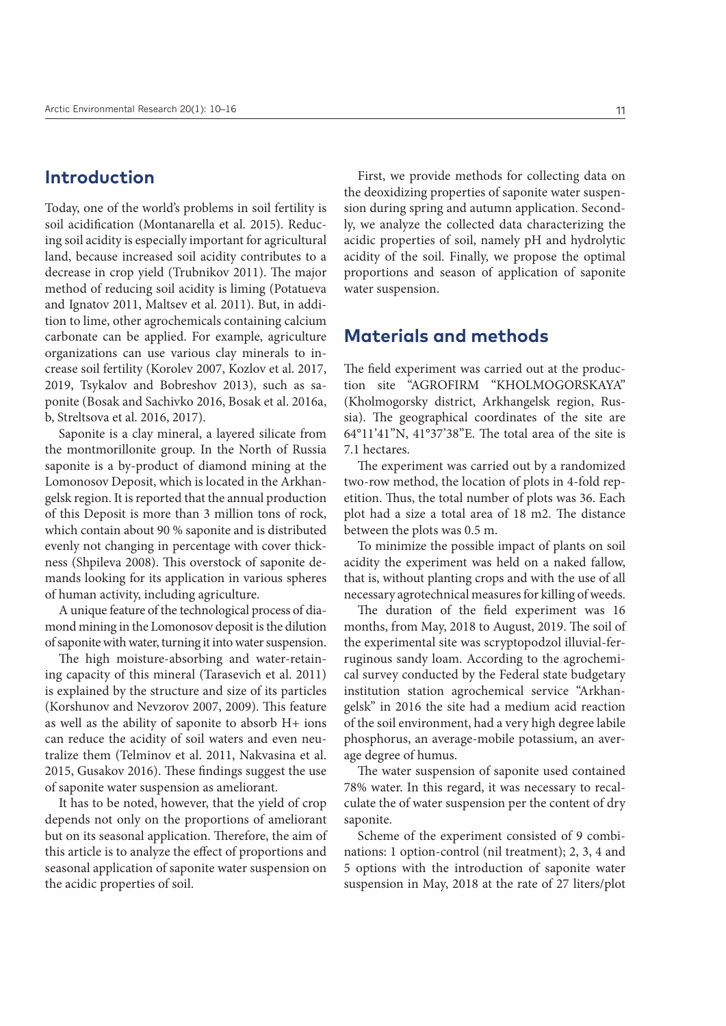## **Introduction**

Today, one of the world's problems in soil fertility is soil acidification (Montanarella et al. 2015). Reducing soil acidity is especially important for agricultural land, because increased soil acidity contributes to a decrease in crop yield (Trubnikov 2011). The major method of reducing soil acidity is liming (Potatueva and Ignatov 2011, Maltsev et al. 2011). But, in addition to lime, other agrochemicals containing calcium carbonate can be applied. For example, agriculture organizations can use various clay minerals to increase soil fertility (Korolev 2007, Kozlov et al. 2017, 2019, Tsykalov and Bobreshov 2013), such as saponite (Bosak and Sachivko 2016, Bosak et al. 2016a, b, Streltsova et al. 2016, 2017).

Saponite is a clay mineral, a layered silicate from the montmorillonite group. In the North of Russia saponite is a by-product of diamond mining at the Lomonosov Deposit, which is located in the Arkhangelsk region. It is reported that the annual production of this Deposit is more than 3 million tons of rock, which contain about 90 % saponite and is distributed evenly not changing in percentage with cover thickness (Shpileva 2008). This overstock of saponite demands looking for its application in various spheres of human activity, including agriculture.

A unique feature of the technological process of diamond mining in the Lomonosov deposit is the dilution of saponite with water, turning it into water suspension.

The high moisture-absorbing and water-retaining capacity of this mineral (Tarasevich et al. 2011) is explained by the structure and size of its particles (Korshunov and Nevzorov 2007, 2009). This feature as well as the ability of saponite to absorb H+ ions can reduce the acidity of soil waters and even neutralize them (Telminov et al. 2011, Nakvasina et al. 2015, Gusakov 2016). These findings suggest the use of saponite water suspension as ameliorant.

It has to be noted, however, that the yield of crop depends not only on the proportions of ameliorant but on its seasonal application. Therefore, the aim of this article is to analyze the effect of proportions and seasonal application of saponite water suspension on the acidic properties of soil.

First, we provide methods for collecting data on the deoxidizing properties of saponite water suspension during spring and autumn application. Secondly, we analyze the collected data characterizing the acidic properties of soil, namely pH and hydrolytic acidity of the soil. Finally, we propose the optimal proportions and season of application of saponite water suspension.

### **Materials and methods**

The field experiment was carried out at the production site "AGROFIRM "KHOLMOGORSKAYA" (Kholmogorsky district, Arkhangelsk region, Russia). The geographical coordinates of the site are 64°11'41"N, 41°37'38"E. The total area of the site is 7.1 hectares.

The experiment was carried out by a randomized two-row method, the location of plots in 4-fold repetition. Thus, the total number of plots was 36. Each plot had a size a total area of 18 m2. The distance between the plots was 0.5 m.

To minimize the possible impact of plants on soil acidity the experiment was held on a naked fallow, that is, without planting crops and with the use of all necessary agrotechnical measures for killing of weeds.

The duration of the field experiment was 16 months, from May, 2018 to August, 2019. The soil of the experimental site was scryptopodzol illuvial-ferruginous sandy loam. According to the agrochemical survey conducted by the Federal state budgetary institution station agrochemical service "Arkhangelsk" in 2016 the site had a medium acid reaction of the soil environment, had a very high degree labile phosphorus, an average-mobile potassium, an average degree of humus.

The water suspension of saponite used contained 78% water. In this regard, it was necessary to recalculate the of water suspension per the content of dry saponite.

Scheme of the experiment consisted of 9 combinations: 1 option-control (nil treatment); 2, 3, 4 and 5 options with the introduction of saponite water suspension in May, 2018 at the rate of 27 liters/plot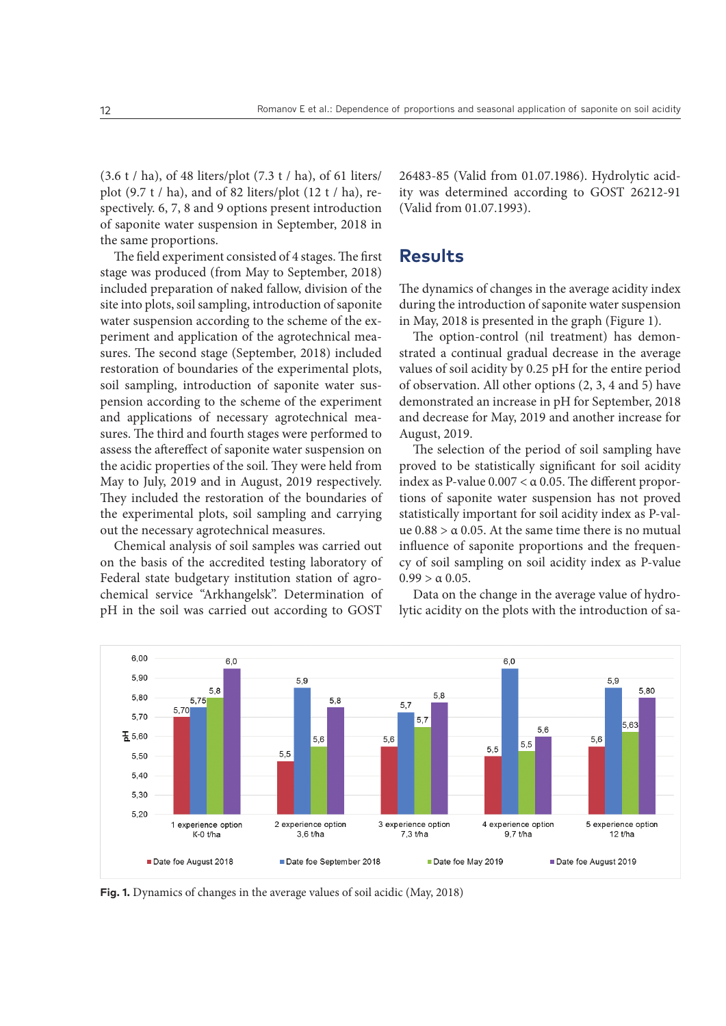(3.6 t / ha), of 48 liters/plot (7.3 t / ha), of 61 liters/ plot (9.7 t / ha), and of 82 liters/plot (12 t / ha), respectively. 6, 7, 8 and 9 options present introduction of saponite water suspension in September, 2018 in the same proportions.

The field experiment consisted of 4 stages. The first stage was produced (from May to September, 2018) included preparation of naked fallow, division of the site into plots, soil sampling, introduction of saponite water suspension according to the scheme of the experiment and application of the agrotechnical measures. The second stage (September, 2018) included restoration of boundaries of the experimental plots, soil sampling, introduction of saponite water suspension according to the scheme of the experiment and applications of necessary agrotechnical measures. The third and fourth stages were performed to assess the aftereffect of saponite water suspension on the acidic properties of the soil. They were held from May to July, 2019 and in August, 2019 respectively. They included the restoration of the boundaries of the experimental plots, soil sampling and carrying out the necessary agrotechnical measures.

Chemical analysis of soil samples was carried out on the basis of the accredited testing laboratory of Federal state budgetary institution station of agrochemical service "Arkhangelsk". Determination of pH in the soil was carried out according to GOST

26483-85 (Valid from 01.07.1986). Hydrolytic acidity was determined according to GOST 26212-91 (Valid from 01.07.1993).

# **Results**

The dynamics of changes in the average acidity index during the introduction of saponite water suspension in May, 2018 is presented in the graph (Figure 1).

The option-control (nil treatment) has demonstrated a continual gradual decrease in the average values of soil acidity by 0.25 pH for the entire period of observation. All other options (2, 3, 4 and 5) have demonstrated an increase in pH for September, 2018 and decrease for May, 2019 and another increase for August, 2019.

The selection of the period of soil sampling have proved to be statistically significant for soil acidity index as P-value  $0.007 < \alpha$  0.05. The different proportions of saponite water suspension has not proved statistically important for soil acidity index as P-value  $0.88 > \alpha$  0.05. At the same time there is no mutual influence of saponite proportions and the frequency of soil sampling on soil acidity index as P-value  $0.99 > \alpha 0.05$ .

Data on the change in the average value of hydrolytic acidity on the plots with the introduction of sa-



**Fig. 1.** Dynamics of changes in the average values of soil acidic (May, 2018)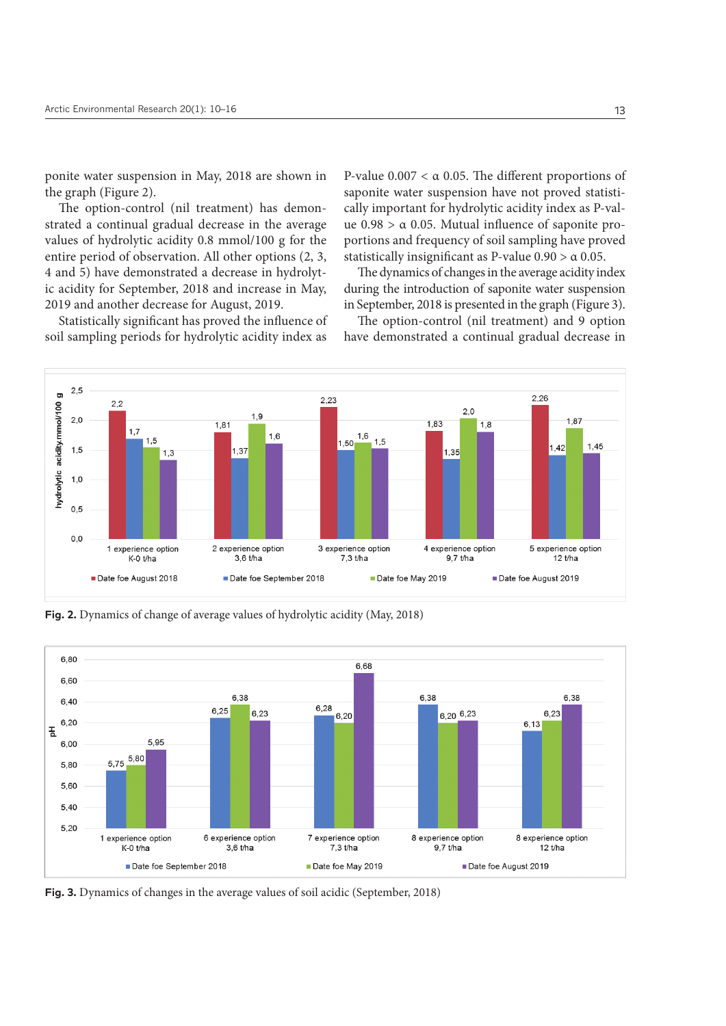ponite water suspension in May, 2018 are shown in the graph (Figure 2).

The option-control (nil treatment) has demonstrated a continual gradual decrease in the average values of hydrolytic acidity 0.8 mmol/100 g for the entire period of observation. All other options (2, 3, 4 and 5) have demonstrated a decrease in hydrolytic acidity for September, 2018 and increase in May, 2019 and another decrease for August, 2019.

Statistically significant has proved the influence of soil sampling periods for hydrolytic acidity index as

P-value  $0.007 < \alpha$  0.05. The different proportions of saponite water suspension have not proved statistically important for hydrolytic acidity index as P-value  $0.98 > \alpha$  0.05. Mutual influence of saponite proportions and frequency of soil sampling have proved statistically insignificant as P-value  $0.90 > \alpha$  0.05.

The dynamics of changes in the average acidity index during the introduction of saponite water suspension in September, 2018 is presented in the graph (Figure 3).

The option-control (nil treatment) and 9 option have demonstrated a continual gradual decrease in



**Fig. 2.** Dynamics of change of average values of hydrolytic acidity (May, 2018)



**Fig. 3.** Dynamics of changes in the average values of soil acidic (September, 2018)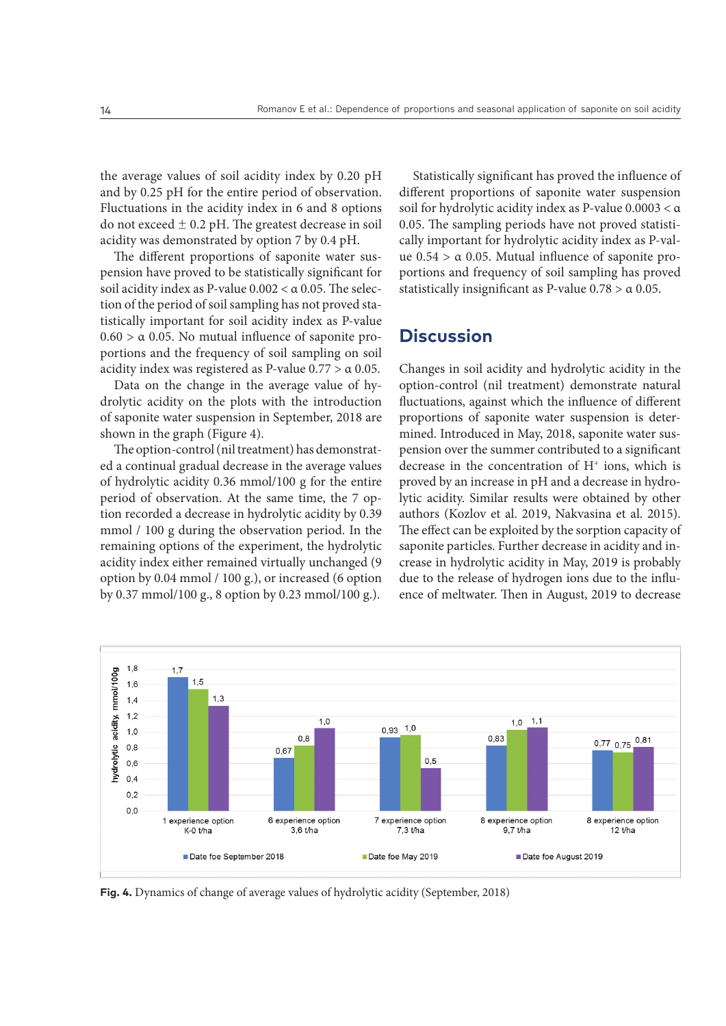the average values of soil acidity index by 0.20 pH and by 0.25 pH for the entire period of observation. Fluctuations in the acidity index in 6 and 8 options do not exceed  $\pm$  0.2 pH. The greatest decrease in soil acidity was demonstrated by option 7 by 0.4 pH.

The different proportions of saponite water suspension have proved to be statistically significant for soil acidity index as P-value  $0.002 < \alpha$  0.05. The selection of the period of soil sampling has not proved statistically important for soil acidity index as P-value  $0.60 > \alpha$  0.05. No mutual influence of saponite proportions and the frequency of soil sampling on soil acidity index was registered as P-value  $0.77 > \alpha$  0.05.

Data on the change in the average value of hydrolytic acidity on the plots with the introduction of saponite water suspension in September, 2018 are shown in the graph (Figure 4).

The option-control (nil treatment) has demonstrated a continual gradual decrease in the average values of hydrolytic acidity 0.36 mmol/100 g for the entire period of observation. At the same time, the 7 option recorded a decrease in hydrolytic acidity by 0.39 mmol / 100 g during the observation period. In the remaining options of the experiment, the hydrolytic acidity index either remained virtually unchanged (9 option by 0.04 mmol / 100 g.), or increased (6 option by 0.37 mmol/100 g., 8 option by 0.23 mmol/100 g.).

Statistically significant has proved the influence of different proportions of saponite water suspension soil for hydrolytic acidity index as P-value 0.0003 < α 0.05. The sampling periods have not proved statistically important for hydrolytic acidity index as P-value  $0.54 > \alpha$  0.05. Mutual influence of saponite proportions and frequency of soil sampling has proved statistically insignificant as P-value  $0.78 > \alpha$  0.05.

#### **Discussion**

Changes in soil acidity and hydrolytic acidity in the option-control (nil treatment) demonstrate natural fluctuations, against which the influence of different proportions of saponite water suspension is determined. Introduced in May, 2018, saponite water suspension over the summer contributed to a significant decrease in the concentration of  $H^+$  ions, which is proved by an increase in pH and a decrease in hydrolytic acidity. Similar results were obtained by other authors (Kozlov et al. 2019, Nakvasina et al. 2015). The effect can be exploited by the sorption capacity of saponite particles. Further decrease in acidity and increase in hydrolytic acidity in May, 2019 is probably due to the release of hydrogen ions due to the influence of meltwater. Then in August, 2019 to decrease



**Fig. 4.** Dynamics of change of average values of hydrolytic acidity (September, 2018)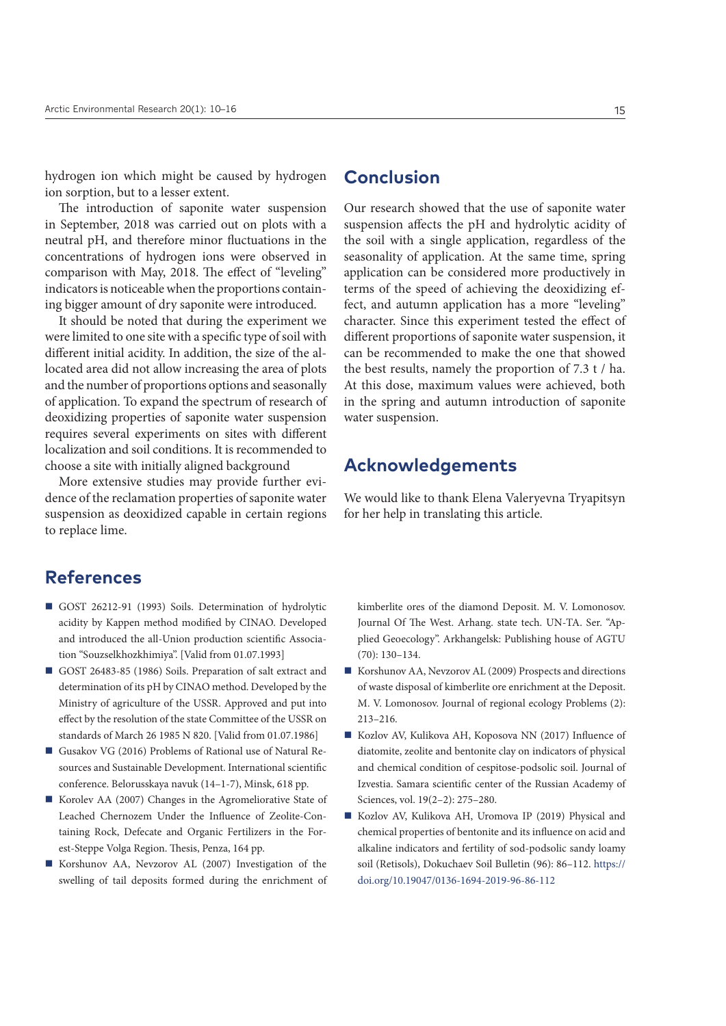hydrogen ion which might be caused by hydrogen ion sorption, but to a lesser extent.

The introduction of saponite water suspension in September, 2018 was carried out on plots with a neutral pH, and therefore minor fluctuations in the concentrations of hydrogen ions were observed in comparison with May, 2018. The effect of "leveling" indicators is noticeable when the proportions containing bigger amount of dry saponite were introduced.

It should be noted that during the experiment we were limited to one site with a specific type of soil with different initial acidity. In addition, the size of the allocated area did not allow increasing the area of plots and the number of proportions options and seasonally of application. To expand the spectrum of research of deoxidizing properties of saponite water suspension requires several experiments on sites with different localization and soil conditions. It is recommended to choose a site with initially aligned background

More extensive studies may provide further evidence of the reclamation properties of saponite water suspension as deoxidized capable in certain regions to replace lime.

## **References**

- GOST 26212-91 (1993) Soils. Determination of hydrolytic acidity by Kappen method modified by CINAO. Developed and introduced the all-Union production scientific Association "Souzselkhozkhimiya". [Valid from 01.07.1993]
- GOST 26483-85 (1986) Soils. Preparation of salt extract and determination of its рН by CINAO method. Developed by the Ministry of agriculture of the USSR. Approved and put into effect by the resolution of the state Committee of the USSR on standards of March 26 1985 N 820. [Valid from 01.07.1986]
- Gusakov VG (2016) Problems of Rational use of Natural Resources and Sustainable Development. International scientific conference. Belorusskaya navuk (14–1-7), Minsk, 618 pp.
- Korolev AA (2007) Changes in the Agromeliorative State of Leached Chernozem Under the Influence of Zeolite-Containing Rock, Defecate and Organic Fertilizers in the Forest-Steppe Volga Region. Thesis, Penza, 164 pp.
- Korshunov AA, Nevzorov AL (2007) Investigation of the swelling of tail deposits formed during the enrichment of

## **Conclusion**

Our research showed that the use of saponite water suspension affects the pH and hydrolytic acidity of the soil with a single application, regardless of the seasonality of application. At the same time, spring application can be considered more productively in terms of the speed of achieving the deoxidizing effect, and autumn application has a more "leveling" character. Since this experiment tested the effect of different proportions of saponite water suspension, it can be recommended to make the one that showed the best results, namely the proportion of 7.3 t / ha. At this dose, maximum values were achieved, both in the spring and autumn introduction of saponite water suspension.

#### **Acknowledgements**

We would like to thank Elena Valeryevna Tryapitsyn for her help in translating this article.

kimberlite ores of the diamond Deposit. M. V. Lomonosov. Journal Of The West. Arhang. state tech. UN-TA. Ser. "Applied Geoecology". Arkhangelsk: Publishing house of AGTU  $(70)$  $\cdot$  130–134.

- Korshunov AA, Nevzorov AL (2009) Prospects and directions of waste disposal of kimberlite ore enrichment at the Deposit. M. V. Lomonosov. Journal of regional ecology Problems (2): 213–216.
- Kozlov AV, Kulikova AH, Koposova NN (2017) Influence of diatomite, zeolite and bentonite clay on indicators of physical and chemical condition of cespitose-podsolic soil. Journal of Izvestia. Samara scientific center of the Russian Academy of Sciences, vol. 19(2–2): 275–280.
- Kozlov AV, Kulikova AH, Uromova IP (2019) Physical and chemical properties of bentonite and its influence on acid and alkaline indicators and fertility of sod-podsolic sandy loamy soil (Retisols), Dokuchaev Soil Bulletin (96): 86–112. [https://](https://doi.org/10.19047/0136-1694-2019-96-86-112) [doi.org/10.19047/0136-1694-2019-96-86-112](https://doi.org/10.19047/0136-1694-2019-96-86-112)